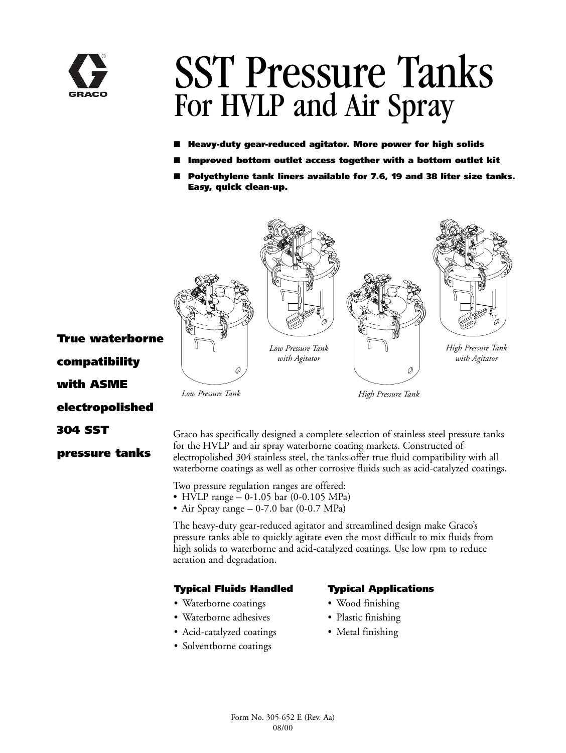

# SST Pressure Tanks For HVLP and Air Spray

- **Heavy-duty gear-reduced agitator. More power for high solids**
- **Improved bottom outlet access together with a bottom outlet kit**
- Polyethylene tank liners available for 7.6, 19 and 38 liter size tanks. **Easy, quick clean-up.**



**True waterborne compatibility with ASME electropolished 304 SST**

**pressure tanks**

Graco has specifically designed a complete selection of stainless steel pressure tanks for the HVLP and air spray waterborne coating markets. Constructed of electropolished 304 stainless steel, the tanks offer true fluid compatibility with all waterborne coatings as well as other corrosive fluids such as acid-catalyzed coatings.

Two pressure regulation ranges are offered:

- HVLP range 0-1.05 bar (0-0.105 MPa)
- Air Spray range 0-7.0 bar (0-0.7 MPa)

The heavy-duty gear-reduced agitator and streamlined design make Graco's pressure tanks able to quickly agitate even the most difficult to mix fluids from high solids to waterborne and acid-catalyzed coatings. Use low rpm to reduce aeration and degradation.

#### **Typical Fluids Handled**

- Waterborne coatings
- Waterborne adhesives
- Acid-catalyzed coatings
- Solventborne coatings

### **Typical Applications**

- Wood finishing
- Plastic finishing
- Metal finishing